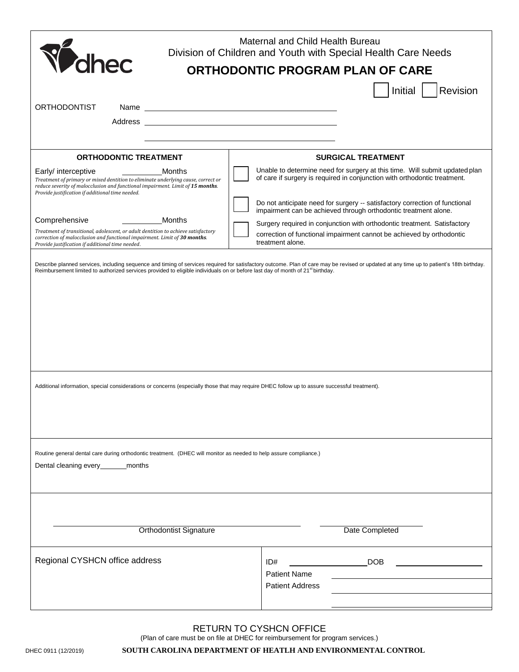| Maternal and Child Health Bureau<br>Division of Children and Youth with Special Health Care Needs                                                                                                                                                        |                                                                                                                                                          |
|----------------------------------------------------------------------------------------------------------------------------------------------------------------------------------------------------------------------------------------------------------|----------------------------------------------------------------------------------------------------------------------------------------------------------|
| Volhec<br>ORTHODONTIC PROGRAM PLAN OF CARE                                                                                                                                                                                                               |                                                                                                                                                          |
|                                                                                                                                                                                                                                                          | Revision<br>Initial                                                                                                                                      |
| <b>ORTHODONTIST</b><br>Name                                                                                                                                                                                                                              | <u> 1989 - Johann Barn, mars eta bat erroman erroman erroman erroman erroman erroman erroman erroman erroman err</u>                                     |
| Address and the contract of the contract of the contract of the contract of the contract of the contract of the contract of the contract of the contract of the contract of the contract of the contract of the contract of th                           |                                                                                                                                                          |
|                                                                                                                                                                                                                                                          |                                                                                                                                                          |
| <b>ORTHODONTIC TREATMENT</b>                                                                                                                                                                                                                             | <b>SURGICAL TREATMENT</b>                                                                                                                                |
| Early/ interceptive<br>Months<br>Treatment of primary or mixed dentition to eliminate underlying cause, correct or<br>reduce severity of malocclusion and functional impairment. Limit of 15 months.<br>Provide justification if additional time needed. | Unable to determine need for surgery at this time. Will submit updated plan<br>of care if surgery is required in conjunction with orthodontic treatment. |
|                                                                                                                                                                                                                                                          | Do not anticipate need for surgery -- satisfactory correction of functional<br>impairment can be achieved through orthodontic treatment alone.           |
| Comprehensive<br>Months<br>Treatment of transitional, adolescent, or adult dentition to achieve satisfactory<br>correction of malocclusion and functional impairment. Limit of 30 months.                                                                | Surgery required in conjunction with orthodontic treatment. Satisfactory<br>correction of functional impairment cannot be achieved by orthodontic        |
| Provide justification if additional time needed.                                                                                                                                                                                                         | treatment alone.                                                                                                                                         |
| Additional information, special considerations or concerns (especially those that may require DHEC follow up to assure successful treatment).                                                                                                            |                                                                                                                                                          |
| Routine general dental care during orthodontic treatment. (DHEC will monitor as needed to help assure compliance.)<br>Dental cleaning every___________months                                                                                             |                                                                                                                                                          |
| Date Completed<br><b>Orthodontist Signature</b>                                                                                                                                                                                                          |                                                                                                                                                          |
|                                                                                                                                                                                                                                                          |                                                                                                                                                          |
| Regional CYSHCN office address                                                                                                                                                                                                                           | <b>Example 19 DOB</b><br>ID#<br><b>Patient Name</b>                                                                                                      |
|                                                                                                                                                                                                                                                          | <b>Patient Address</b>                                                                                                                                   |
|                                                                                                                                                                                                                                                          |                                                                                                                                                          |

#### RETURN TO CYSHCN OFFICE

(Plan of care must be on file at DHEC for reimbursement for program services.)

#### DHEC 0911 (12/2019) **SOUTH CAROLINA DEPARTMENT OF HEATLH AND ENVIRONMENTAL CONTROL**